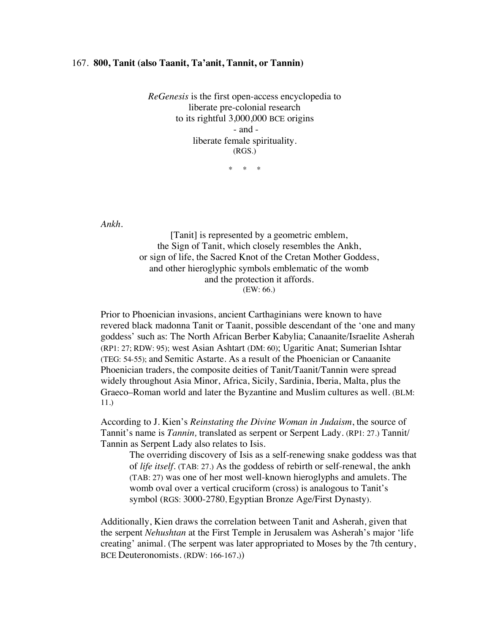## 167. **800, Tanit (also Taanit, Ta'anit, Tannit, or Tannin)**

*ReGenesis* is the first open-access encyclopedia to liberate pre-colonial research to its rightful 3,000,000 BCE origins - and liberate female spirituality. (RGS.)

\* \* \*

*Ankh.*

[Tanit] is represented by a geometric emblem, the Sign of Tanit, which closely resembles the Ankh, or sign of life, the Sacred Knot of the Cretan Mother Goddess, and other hieroglyphic symbols emblematic of the womb and the protection it affords. (EW: 66.)

Prior to Phoenician invasions, ancient Carthaginians were known to have revered black madonna Tanit or Taanit, possible descendant of the 'one and many goddess' such as: The North African Berber Kabylia; Canaanite/Israelite Asherah (RP1: 27; RDW: 95); west Asian Ashtart (DM: 60); Ugaritic Anat; Sumerian Ishtar (TEG: 54-55); and Semitic Astarte. As a result of the Phoenician or Canaanite Phoenician traders, the composite deities of Tanit/Taanit/Tannin were spread widely throughout Asia Minor, Africa, Sicily, Sardinia, Iberia, Malta, plus the Graeco–Roman world and later the Byzantine and Muslim cultures as well. (BLM: 11.)

According to J. Kien's *Reinstating the Divine Woman in Judaism*, the source of Tannit's name is *Tannin*, translated as serpent or Serpent Lady. (RP1: 27.) Tannit Tannin as Serpent Lady also relates to Isis.

The overriding discovery of Isis as a self-renewing snake goddess was that of *life itself*. (TAB: 27.) As the goddess of rebirth or self-renewal, the ankh (TAB: 27) was one of her most well-known hieroglyphs and amulets. The womb oval over a vertical cruciform (cross) is analogous to Tanit's symbol (RGS: 3000-2780, Egyptian Bronze Age/First Dynasty).

Additionally, Kien draws the correlation between Tanit and Asherah, given that the serpent *Nehushtan* at the First Temple in Jerusalem was Asherah's major 'life creating' animal. (The serpent was later appropriated to Moses by the 7th century, BCE Deuteronomists. (RDW: 166-167.))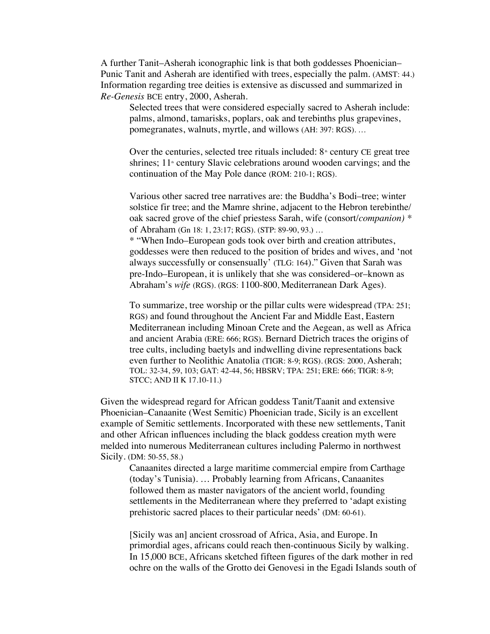A further Tanit–Asherah iconographic link is that both goddesses Phoenician– Punic Tanit and Asherah are identified with trees, especially the palm. (AMST: 44.) Information regarding tree deities is extensive as discussed and summarized in *Re-Genesis* BCE entry, 2000, Asherah.

Selected trees that were considered especially sacred to Asherah include: palms, almond, tamarisks, poplars, oak and terebinths plus grapevines, pomegranates, walnuts, myrtle, and willows (AH: 397: RGS). …

Over the centuries, selected tree rituals included:  $8<sup>*</sup>$  century CE great tree shrines;  $11<sup>*</sup>$  century Slavic celebrations around wooden carvings; and the continuation of the May Pole dance (ROM: 210-1; RGS).

Various other sacred tree narratives are: the Buddha's Bodi–tree; winter solstice fir tree; and the Mamre shrine, adjacent to the Hebron terebinthe/ oak sacred grove of the chief priestess Sarah, wife (consort/*companion) \** of Abraham (Gn 18: 1, 23:17; RGS). (STP: 89-90, 93.) …

\* "When Indo–European gods took over birth and creation attributes, goddesses were then reduced to the position of brides and wives, and 'not always successfully or consensually' (TLG: 164)." Given that Sarah was pre-Indo–European, it is unlikely that she was considered–or–known as Abraham's *wife* (RGS). (RGS: 1100-800, Mediterranean Dark Ages).

To summarize, tree worship or the pillar cults were widespread (TPA: 251; RGS) and found throughout the Ancient Far and Middle East, Eastern Mediterranean including Minoan Crete and the Aegean, as well as Africa and ancient Arabia (ERE: 666; RGS). Bernard Dietrich traces the origins of tree cults, including baetyls and indwelling divine representations back even further to Neolithic Anatolia (TIGR: 8-9; RGS). (RGS: 2000, Asherah; TOL: 32-34, 59, 103; GAT: 42-44, 56; HBSRV; TPA: 251; ERE: 666; TIGR: 8-9; STCC; AND II K 17.10-11.)

Given the widespread regard for African goddess Tanit/Taanit and extensive Phoenician–Canaanite (West Semitic) Phoenician trade, Sicily is an excellent example of Semitic settlements. Incorporated with these new settlements, Tanit and other African influences including the black goddess creation myth were melded into numerous Mediterranean cultures including Palermo in northwest Sicily. (DM: 50-55, 58.)

Canaanites directed a large maritime commercial empire from Carthage (today's Tunisia). … Probably learning from Africans, Canaanites followed them as master navigators of the ancient world, founding settlements in the Mediterranean where they preferred to 'adapt existing prehistoric sacred places to their particular needs' (DM: 60-61).

[Sicily was an] ancient crossroad of Africa, Asia, and Europe. In primordial ages, africans could reach then-continuous Sicily by walking. In 15,000 BCE, Africans sketched fifteen figures of the dark mother in red ochre on the walls of the Grotto dei Genovesi in the Egadi Islands south of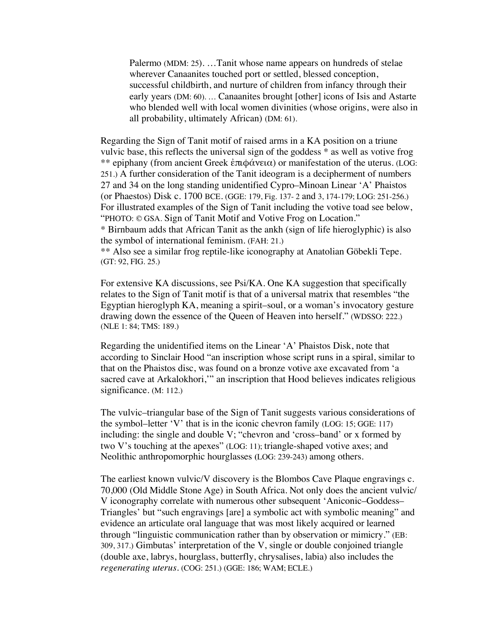Palermo (MDM: 25). …Tanit whose name appears on hundreds of stelae wherever Canaanites touched port or settled, blessed conception, successful childbirth, and nurture of children from infancy through their early years (DM: 60). … Canaanites brought [other] icons of Isis and Astarte who blended well with local women divinities (whose origins, were also in all probability, ultimately African) (DM: 61).

Regarding the Sign of Tanit motif of raised arms in a KA position on a triune vulvic base, this reflects the universal sign of the goddess \* as well as votive frog \*\* epiphany (from ancient Greek ἐπιφάνεια) or manifestation of the uterus. (LOG: 251.) A further consideration of the Tanit ideogram is a decipherment of numbers 27 and 34 on the long standing unidentified Cypro–Minoan Linear 'A' Phaistos (or Phaestos) Disk c. 1700 BCE. (GGE: 179, Fig. 137- 2 and 3, 174-179; LOG: 251-256.) For illustrated examples of the Sign of Tanit including the votive toad see below, "PHOTO: © GSA. Sign of Tanit Motif and Votive Frog on Location."

\* Birnbaum adds that African Tanit as the ankh (sign of life hieroglyphic) is also the symbol of international feminism. (FAH: 21.)

\*\* Also see a similar frog reptile-like iconography at Anatolian Göbekli Tepe. (GT: 92, FIG. 25.)

For extensive KA discussions, see Psi/KA. One KA suggestion that specifically relates to the Sign of Tanit motif is that of a universal matrix that resembles "the Egyptian hieroglyph KA, meaning a spirit–soul, or a woman's invocatory gesture drawing down the essence of the Queen of Heaven into herself." (WDSSO: 222.) (NLE 1: 84; TMS: 189.)

Regarding the unidentified items on the Linear 'A' Phaistos Disk, note that according to Sinclair Hood "an inscription whose script runs in a spiral, similar to that on the Phaistos disc, was found on a bronze votive axe excavated from 'a sacred cave at Arkalokhori,'" an inscription that Hood believes indicates religious significance. (M: 112.)

The vulvic–triangular base of the Sign of Tanit suggests various considerations of the symbol–letter 'V' that is in the iconic chevron family (LOG: 15; GGE: 117) including: the single and double V; "chevron and 'cross–band' or x formed by two V's touching at the apexes" (LOG: 11); triangle-shaped votive axes; and Neolithic anthropomorphic hourglasses **(**LOG: 239-243) among others.

The earliest known vulvic/V discovery is the Blombos Cave Plaque engravings c. 70,000 (Old Middle Stone Age) in South Africa. Not only does the ancient vulvic/ V iconography correlate with numerous other subsequent 'Aniconic–Goddess– Triangles' but "such engravings [are] a symbolic act with symbolic meaning" and evidence an articulate oral language that was most likely acquired or learned through "linguistic communication rather than by observation or mimicry." (EB: 309, 317.) Gimbutas' interpretation of the V, single or double conjoined triangle (double axe, labrys, hourglass, butterfly, chrysalises, labia) also includes the *regenerating uterus.* (COG: 251.) (GGE: 186; WAM; ECLE.)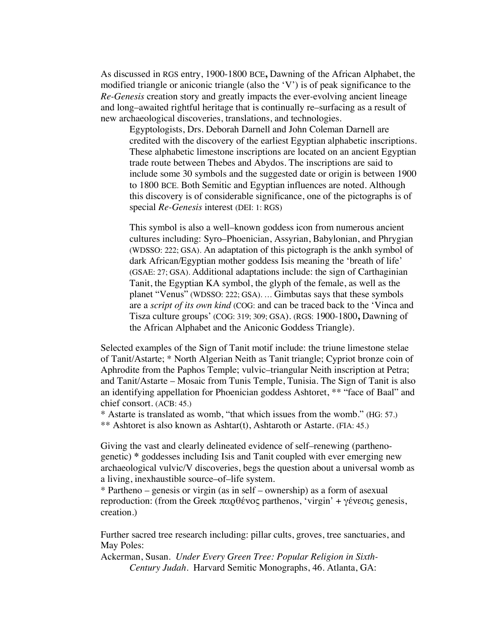As discussed in RGS entry, 1900-1800 BCE**,** Dawning of the African Alphabet, the modified triangle or aniconic triangle (also the 'V') is of peak significance to the *Re-Genesis* creation story and greatly impacts the ever-evolving ancient lineage and long–awaited rightful heritage that is continually re–surfacing as a result of new archaeological discoveries, translations, and technologies.

Egyptologists, Drs. Deborah Darnell and John Coleman Darnell are credited with the discovery of the earliest Egyptian alphabetic inscriptions. These alphabetic limestone inscriptions are located on an ancient Egyptian trade route between Thebes and Abydos. The inscriptions are said to include some 30 symbols and the suggested date or origin is between 1900 to 1800 BCE. Both Semitic and Egyptian influences are noted. Although this discovery is of considerable significance, one of the pictographs is of special *Re-Genesis* interest (DEI: 1: RGS)

This symbol is also a well–known goddess icon from numerous ancient cultures including: Syro–Phoenician, Assyrian, Babylonian, and Phrygian (WDSSO: 222; GSA). An adaptation of this pictograph is the ankh symbol of dark African/Egyptian mother goddess Isis meaning the 'breath of life' (GSAE: 27; GSA). Additional adaptations include: the sign of Carthaginian Tanit, the Egyptian KA symbol, the glyph of the female, as well as the planet "Venus" (WDSSO: 222; GSA). … Gimbutas says that these symbols are a *script of its own kind* (COG: and can be traced back to the 'Vinca and Tisza culture groups' (COG: 319; 309; GSA). (RGS: 1900-1800**,** Dawning of the African Alphabet and the Aniconic Goddess Triangle).

Selected examples of the Sign of Tanit motif include: the triune limestone stelae of Tanit/Astarte; \* North Algerian Neith as Tanit triangle; Cypriot bronze coin of Aphrodite from the Paphos Temple; vulvic–triangular Neith inscription at Petra; and Tanit/Astarte – Mosaic from Tunis Temple, Tunisia. The Sign of Tanit is also an identifying appellation for Phoenician goddess Ashtoret, \*\* "face of Baal" and chief consort. (ACB: 45.)

\* Astarte is translated as womb, "that which issues from the womb." (HG: 57.) \*\* Ashtoret is also known as Ashtar(t), Ashtaroth or Astarte. (FIA: 45.)

Giving the vast and clearly delineated evidence of self–renewing (parthenogenetic) **\*** goddesses including Isis and Tanit coupled with ever emerging new archaeological vulvic/V discoveries, begs the question about a universal womb as a living, inexhaustible source–of–life system.

\* Partheno – genesis or virgin (as in self – ownership) as a form of asexual reproduction: (from the Greek παρθένος parthenos, 'virgin' + γένεσις genesis, creation.)

Further sacred tree research including: pillar cults, groves, tree sanctuaries, and May Poles:

Ackerman, Susan. *Under Every Green Tree: Popular Religion in Sixth-Century Judah*. Harvard Semitic Monographs, 46. Atlanta, GA: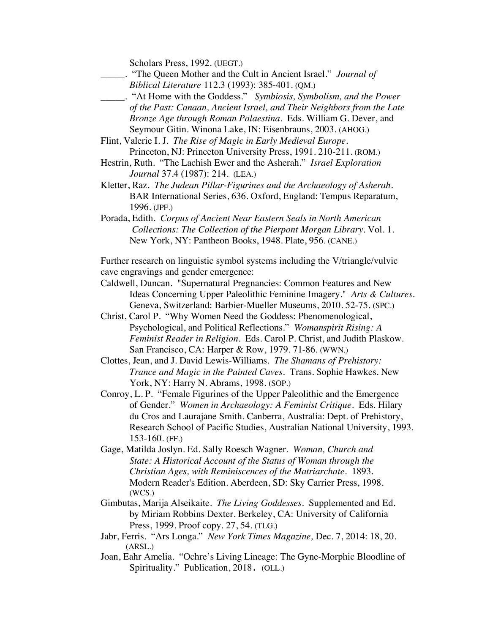Scholars Press, 1992. (UEGT.)

- \_\_\_\_\_. "The Queen Mother and the Cult in Ancient Israel." *Journal of Biblical Literature* 112.3 (1993): 385-401. (QM.)
- \_\_\_\_\_. "At Home with the Goddess." *Symbiosis, Symbolism, and the Power of the Past: Canaan, Ancient Israel, and Their Neighbors from the Late Bronze Age through Roman Palaestina.* Eds. William G. Dever, and Seymour Gitin. Winona Lake, IN: Eisenbrauns, 2003. (AHOG.)
- Flint, Valerie I. J. *The Rise of Magic in Early Medieval Europe.* Princeton, NJ: Princeton University Press, 1991. 210-211. (ROM.)
- Hestrin, Ruth. "The Lachish Ewer and the Asherah." *Israel Exploration Journal* 37.4 (1987): 214. (LEA.)
- Kletter, Raz. *The Judean Pillar-Figurines and the Archaeology of Asherah*. BAR International Series, 636. Oxford, England: Tempus Reparatum, 1996. (JPF.)
- Porada, Edith. *Corpus of Ancient Near Eastern Seals in North American Collections: The Collection of the Pierpont Morgan Library*. Vol. 1. New York, NY: Pantheon Books, 1948. Plate, 956. (CANE.)

Further research on linguistic symbol systems including the V/triangle/vulvic cave engravings and gender emergence:

- Caldwell, Duncan. "Supernatural Pregnancies: Common Features and New Ideas Concerning Upper Paleolithic Feminine Imagery." *Arts & Cultures.*  Geneva, Switzerland: Barbier-Mueller Museums, 2010. 52-75. (SPC.)
- Christ, Carol P. "Why Women Need the Goddess: Phenomenological, Psychological, and Political Reflections." *Womanspirit Rising: A Feminist Reader in Religion*. Eds. Carol P. Christ, and Judith Plaskow. San Francisco, CA: Harper & Row, 1979. 71-86. (WWN.)
- Clottes, Jean, and J. David Lewis-Williams. *The Shamans of Prehistory: Trance and Magic in the Painted Caves.* Trans. Sophie Hawkes. New York, NY: Harry N. Abrams, 1998. (SOP.)
- Conroy, L. P. "Female Figurines of the Upper Paleolithic and the Emergence of Gender." *Women in Archaeology: A Feminist Critique*. Eds. Hilary du Cros and Laurajane Smith. Canberra, Australia: Dept. of Prehistory, Research School of Pacific Studies, Australian National University, 1993. 153-160. (FF.)
- Gage, Matilda Joslyn. Ed. Sally Roesch Wagner. *Woman, Church and State: A Historical Account of the Status of Woman through the Christian Ages, with Reminiscences of the Matriarchate*. 1893. Modern Reader's Edition. Aberdeen, SD: Sky Carrier Press, 1998. (WCS.)
- Gimbutas, Marija Alseikaite. *The Living Goddesses*. Supplemented and Ed. by Miriam Robbins Dexter. Berkeley, CA: University of California Press, 1999. Proof copy. 27, 54. (TLG.)
- Jabr, Ferris. "Ars Longa." *New York Times Magazine,* Dec. 7, 2014: 18, 20. (ARSL.)
- Joan, Eahr Amelia. "Ochre's Living Lineage: The Gyne-Morphic Bloodline of Spirituality." Publication, 2018. (OLL.)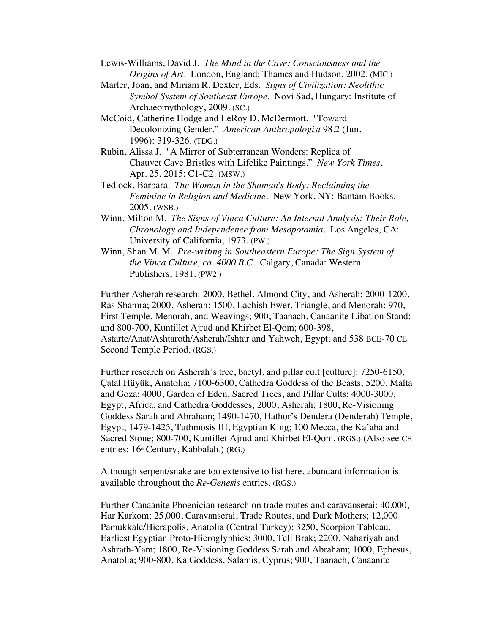- Lewis-Williams, David J. *The Mind in the Cave: Consciousness and the Origins of Art.* London, England: Thames and Hudson, 2002. (MIC.)
- Marler, Joan, and Miriam R. Dexter, Eds. *Signs of Civilization: Neolithic Symbol System of Southeast Europe*. Novi Sad, Hungary: Institute of Archaeomythology, 2009. (SC.)
- McCoid, Catherine Hodge and LeRoy D. McDermott. "Toward Decolonizing Gender." *American Anthropologist* 98.2 (Jun. 1996): 319-326. (TDG.)
- Rubin, Alissa J. "A Mirror of Subterranean Wonders: Replica of Chauvet Cave Bristles with Lifelike Paintings." *New York Times*, Apr. 25, 2015: C1-C2. (MSW.)
- Tedlock, Barbara. *The Woman in the Shaman's Body: Reclaiming the Feminine in Religion and Medicine*. New York, NY: Bantam Books, 2005. (WSB.)
- Winn, Milton M. *The Signs of Vinca Culture: An Internal Analysis: Their Role, Chronology and Independence from Mesopotamia*. Los Angeles, CA: University of California, 1973. (PW.)
- Winn, Shan M. M. *Pre-writing in Southeastern Europe: The Sign System of the Vinca Culture, ca. 4000 B.C.* Calgary, Canada: Western Publishers, 1981. (PW2.)

Further Asherah research: 2000, Bethel, Almond City, and Asherah; 2000-1200, Ras Shamra; 2000, Asherah; 1500, Lachish Ewer, Triangle, and Menorah; 970, First Temple, Menorah, and Weavings; 900, Taanach, Canaanite Libation Stand; and 800-700, Kuntillet Ajrud and Khirbet El-Qom; 600-398, Astarte/Anat/Ashtaroth/Asherah/Ishtar and Yahweh, Egypt; and 538 BCE-70 CE Second Temple Period. (RGS.)

Further research on Asherah's tree, baetyl, and pillar cult [culture]: 7250-6150, Çatal Hüyük, Anatolia; 7100-6300, Cathedra Goddess of the Beasts; 5200, Malta and Goza; 4000, Garden of Eden, Sacred Trees, and Pillar Cults; 4000-3000, Egypt, Africa, and Cathedra Goddesses; 2000, Asherah; 1800, Re-Visioning Goddess Sarah and Abraham; 1490-1470, Hathor's Dendera (Denderah) Temple, Egypt; 1479-1425, Tuthmosis III, Egyptian King; 100 Mecca, the Ka'aba and Sacred Stone; 800-700, Kuntillet Ajrud and Khirbet El-Qom. (RGS.) (Also see CE entries: 16<sup>th</sup> Century, Kabbalah.) (RG.)

Although serpent/snake are too extensive to list here, abundant information is available throughout the *Re-Genesis* entries. (RGS.)

Further Canaanite Phoenician research on trade routes and caravanserai: 40,000, Har Karkom; 25,000, Caravanserai, Trade Routes, and Dark Mothers; 12,000 Pamukkale*/*Hierapolis, Anatolia (Central Turkey); 3250, Scorpion Tableau, Earliest Egyptian Proto-Hieroglyphics; 3000, Tell Brak; 2200, Nahariyah and Ashrath-Yam; 1800, Re-Visioning Goddess Sarah and Abraham; 1000, Ephesus, Anatolia; 900-800, Ka Goddess, Salamis, Cyprus; 900, Taanach, Canaanite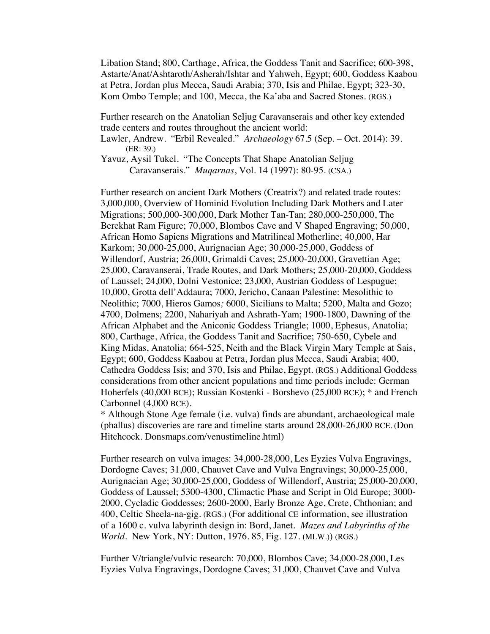Libation Stand; 800, Carthage, Africa, the Goddess Tanit and Sacrifice; 600-398, Astarte/Anat/Ashtaroth/Asherah/Ishtar and Yahweh, Egypt; 600, Goddess Kaabou at Petra, Jordan plus Mecca, Saudi Arabia; 370, Isis and Philae, Egypt; 323-30, Kom Ombo Temple; and 100, Mecca, the Ka'aba and Sacred Stones. (RGS.)

Further research on the Anatolian Seljug Caravanserais and other key extended trade centers and routes throughout the ancient world:

Lawler, Andrew. "Erbil Revealed." *Archaeology* 67.5 (Sep. – Oct. 2014): 39. (ER: 39.)

Yavuz, Aysil Tukel. "The Concepts That Shape Anatolian Seljug Caravanserais." *Muqarnas*, Vol. 14 (1997): 80-95. (CSA.)

Further research on ancient Dark Mothers (Creatrix?) and related trade routes: 3,000,000, Overview of Hominid Evolution Including Dark Mothers and Later Migrations; 500,000-300,000, Dark Mother Tan-Tan; 280,000-250,000, The Berekhat Ram Figure; 70,000, Blombos Cave and V Shaped Engraving; 50,000, African Homo Sapiens Migrations and Matrilineal Motherline; 40,000, Har Karkom; 30,000-25,000, Aurignacian Age; 30,000-25,000, Goddess of Willendorf, Austria; 26,000, Grimaldi Caves; 25,000-20,000, Gravettian Age; 25,000, Caravanserai, Trade Routes, and Dark Mothers; 25,000-20,000, Goddess of Laussel; 24,000, Dolni Vestonice; 23,000, Austrian Goddess of Lespugue; 10,000, Grotta dell'Addaura; 7000, Jericho, Canaan Palestine: Mesolithic to Neolithic; 7000, Hieros Gamos*;* 6000, Sicilians to Malta; 5200, Malta and Gozo; 4700, Dolmens; 2200, Nahariyah and Ashrath-Yam; 1900-1800, Dawning of the African Alphabet and the Aniconic Goddess Triangle; 1000, Ephesus, Anatolia; 800, Carthage, Africa, the Goddess Tanit and Sacrifice; 750-650, Cybele and King Midas, Anatolia; 664-525, Neith and the Black Virgin Mary Temple at Sais, Egypt; 600, Goddess Kaabou at Petra, Jordan plus Mecca, Saudi Arabia; 400, Cathedra Goddess Isis; and 370, Isis and Philae, Egypt. (RGS.) Additional Goddess considerations from other ancient populations and time periods include: German Hoherfels (40,000 BCE); Russian Kostenki - Borshevo (25,000 BCE); \* and French Carbonnel (4,000 BCE).

\* Although Stone Age female (i.e. vulva) finds are abundant, archaeological male (phallus) discoveries are rare and timeline starts around 28,000-26,000 BCE. (Don Hitchcock. Donsmaps.com/venustimeline.html)

Further research on vulva images: 34,000-28,000, Les Eyzies Vulva Engravings, Dordogne Caves; 31,000, Chauvet Cave and Vulva Engravings; 30,000-25,000, Aurignacian Age; 30,000-25,000, Goddess of Willendorf, Austria; 25,000-20,000, Goddess of Laussel; 5300-4300, Climactic Phase and Script in Old Europe; 3000- 2000, Cycladic Goddesses; 2600-2000, Early Bronze Age, Crete, Chthonian; and 400, Celtic Sheela-na-gig. (RGS.) (For additional CE information, see illustration of a 1600 c. vulva labyrinth design in: Bord, Janet. *Mazes and Labyrinths of the World*. New York, NY: Dutton, 1976. 85, Fig. 127. **(**MLW.)) (RGS.)

Further V/triangle/vulvic research: 70,000, Blombos Cave; 34,000-28,000, Les Eyzies Vulva Engravings, Dordogne Caves; 31,000, Chauvet Cave and Vulva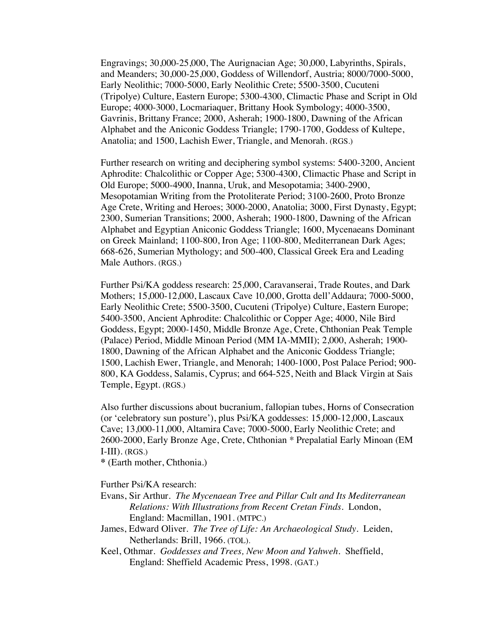Engravings; 30,000-25,000, The Aurignacian Age; 30,000, Labyrinths, Spirals, and Meanders; 30,000-25,000, Goddess of Willendorf, Austria; 8000/7000-5000, Early Neolithic; 7000-5000, Early Neolithic Crete; 5500-3500, Cucuteni (Tripolye) Culture, Eastern Europe; 5300-4300, Climactic Phase and Script in Old Europe; 4000-3000, Locmariaquer, Brittany Hook Symbology; 4000-3500, Gavrinis, Brittany France; 2000, Asherah; 1900-1800, Dawning of the African Alphabet and the Aniconic Goddess Triangle; 1790-1700, Goddess of Kultepe, Anatolia; and 1500, Lachish Ewer, Triangle, and Menorah. (RGS.)

Further research on writing and deciphering symbol systems: 5400-3200, Ancient Aphrodite: Chalcolithic or Copper Age; 5300-4300, Climactic Phase and Script in Old Europe; 5000-4900, Inanna, Uruk, and Mesopotamia; 3400-2900, Mesopotamian Writing from the Protoliterate Period; 3100-2600, Proto Bronze Age Crete, Writing and Heroes; 3000-2000, Anatolia; 3000, First Dynasty, Egypt; 2300, Sumerian Transitions; 2000, Asherah; 1900-1800, Dawning of the African Alphabet and Egyptian Aniconic Goddess Triangle; 1600, Mycenaeans Dominant on Greek Mainland; 1100-800, Iron Age; 1100-800, Mediterranean Dark Ages; 668-626, Sumerian Mythology; and 500-400, Classical Greek Era and Leading Male Authors. (RGS.)

Further Psi/KA goddess research: 25,000, Caravanserai, Trade Routes, and Dark Mothers; 15,000-12,000, Lascaux Cave 10,000, Grotta dell'Addaura; 7000-5000, Early Neolithic Crete; 5500-3500, Cucuteni (Tripolye) Culture, Eastern Europe; 5400-3500, Ancient Aphrodite: Chalcolithic or Copper Age; 4000, Nile Bird Goddess, Egypt; 2000-1450, Middle Bronze Age, Crete, Chthonian Peak Temple (Palace) Period, Middle Minoan Period (MM IA-MMII); 2,000, Asherah; 1900- 1800, Dawning of the African Alphabet and the Aniconic Goddess Triangle; 1500, Lachish Ewer, Triangle, and Menorah; 1400-1000, Post Palace Period; 900- 800, KA Goddess, Salamis, Cyprus; and 664-525, Neith and Black Virgin at Sais Temple, Egypt. (RGS.)

Also further discussions about bucranium, fallopian tubes, Horns of Consecration (or 'celebratory sun posture'), plus Psi/KA goddesses: 15,000-12,000, Lascaux Cave; 13,000-11,000, Altamira Cave; 7000-5000, Early Neolithic Crete; and 2600-2000, Early Bronze Age, Crete, Chthonian \* Prepalatial Early Minoan (EM  $I-III$ ). (RGS.)

**\*** (Earth mother, Chthonia.)

Further Psi/KA research:

- Evans, Sir Arthur. *The Mycenaean Tree and Pillar Cult and Its Mediterranean Relations: With Illustrations from Recent Cretan Finds*. London, England: Macmillan, 1901. (MTPC.)
- James, Edward Oliver. *The Tree of Life: An Archaeological Study*. Leiden, Netherlands: Brill, 1966. (TOL).
- Keel, Othmar. *Goddesses and Trees, New Moon and Yahweh*. Sheffield, England: Sheffield Academic Press, 1998. (GAT.)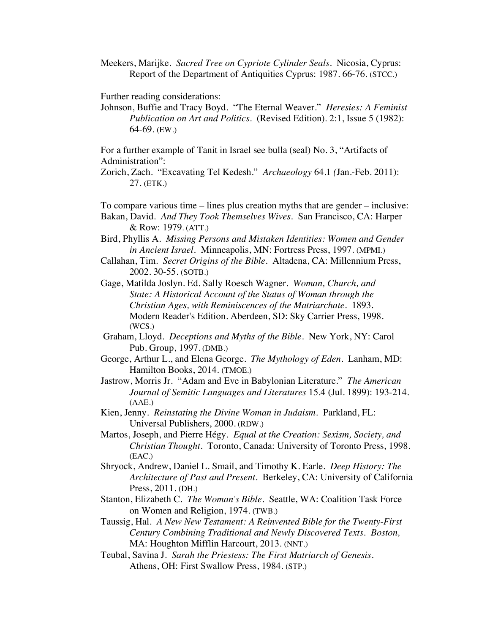Meekers, Marijke.*Sacred Tree on Cypriote Cylinder Seals*. Nicosia, Cyprus: Report of the Department of Antiquities Cyprus: 1987. 66-76. (STCC.)

Further reading considerations:

Johnson, Buffie and Tracy Boyd. "The Eternal Weaver." *Heresies: A Feminist Publication on Art and Politics*. (Revised Edition). 2:1, Issue 5 (1982): 64-69. (EW.)

For a further example of Tanit in Israel see bulla (seal) No. 3, "Artifacts of Administration":

Zorich, Zach. "Excavating Tel Kedesh." *Archaeology* 64.1 *(*Jan.-Feb. 2011): 27. (ETK.)

To compare various time – lines plus creation myths that are gender – inclusive:

- Bakan, David. *And They Took Themselves Wives*. San Francisco, CA: Harper & Row: 1979. (ATT.)
- Bird, Phyllis A. *Missing Persons and Mistaken Identities: Women and Gender in Ancient Israel.* Minneapolis, MN: Fortress Press, 1997. (MPMI.)
- Callahan, Tim. *Secret Origins of the Bible.* Altadena, CA: Millennium Press, 2002. 30-55. (SOTB.)
- Gage, Matilda Joslyn. Ed. Sally Roesch Wagner. *Woman, Church, and State: A Historical Account of the Status of Woman through the Christian Ages, with Reminiscences of the Matriarchate*. 1893. Modern Reader's Edition. Aberdeen, SD: Sky Carrier Press, 1998. (WCS.)
- Graham, Lloyd. *Deceptions and Myths of the Bible*. New York, NY: Carol Pub. Group, 1997. (DMB.)
- George, Arthur L., and Elena George. *The Mythology of Eden*. Lanham, MD: Hamilton Books, 2014. (TMOE.)
- Jastrow, Morris Jr. "Adam and Eve in Babylonian Literature." *The American Journal of Semitic Languages and Literatures* 15.4 (Jul. 1899): 193-214. (AAE.)
- Kien, Jenny. *Reinstating the Divine Woman in Judaism.* Parkland, FL: Universal Publishers, 2000. (RDW.)
- Martos, Joseph, and Pierre Hégy. *Equal at the Creation: Sexism, Society, and Christian Thought*. Toronto, Canada: University of Toronto Press, 1998. (EAC.)
- Shryock, Andrew, Daniel L. Smail, and Timothy K. Earle. *Deep History: The Architecture of Past and Present*. Berkeley, CA: University of California Press, 2011. (DH.)
- Stanton, Elizabeth C. *The Woman's Bible*. Seattle, WA: Coalition Task Force on Women and Religion, 1974. (TWB.)
- Taussig, Hal. *A New New Testament: A Reinvented Bible for the Twenty-First Century Combining Traditional and Newly Discovered Texts. Boston,*  MA: Houghton Mifflin Harcourt, 2013. (NNT.)
- Teubal, Savina J. *Sarah the Priestess: The First Matriarch of Genesis*. Athens, OH: First Swallow Press, 1984. (STP.)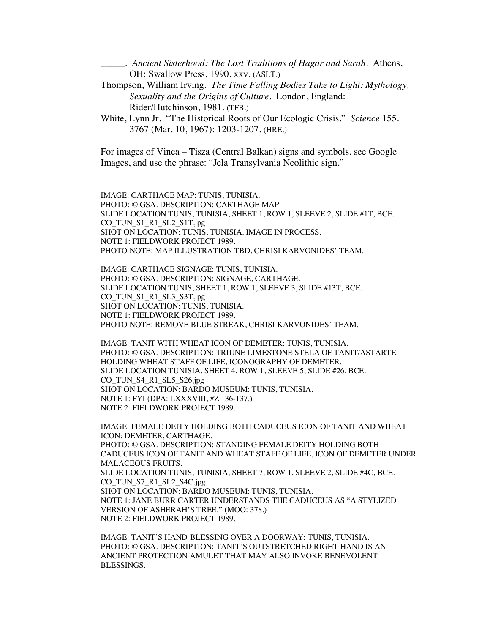\_\_\_\_\_. *Ancient Sisterhood: The Lost Traditions of Hagar and Sarah*. Athens, OH: Swallow Press, 1990. xxv. (ASLT.)

- Thompson, William Irving. *The Time Falling Bodies Take to Light: Mythology, Sexuality and the Origins of Culture.* London, England: Rider/Hutchinson, 1981. (TFB.)
- White, Lynn Jr. "The Historical Roots of Our Ecologic Crisis." *Science* 155. 3767 (Mar. 10, 1967): 1203-1207. (HRE.)

For images of Vinca – Tisza (Central Balkan) signs and symbols, see Google Images, and use the phrase: "Jela Transylvania Neolithic sign."

IMAGE: CARTHAGE MAP: TUNIS, TUNISIA. PHOTO: © GSA. DESCRIPTION: CARTHAGE MAP. SLIDE LOCATION TUNIS, TUNISIA, SHEET 1, ROW 1, SLEEVE 2, SLIDE #1T, BCE. CO\_TUN\_S1\_R1\_SL2\_S1T.jpg SHOT ON LOCATION: TUNIS, TUNISIA. IMAGE IN PROCESS. NOTE 1: FIELDWORK PROJECT 1989. PHOTO NOTE: MAP ILLUSTRATION TBD, CHRISI KARVONIDES' TEAM.

IMAGE: CARTHAGE SIGNAGE: TUNIS, TUNISIA. PHOTO: © GSA. DESCRIPTION: SIGNAGE, CARTHAGE. SLIDE LOCATION TUNIS, SHEET 1, ROW 1, SLEEVE 3, SLIDE #13T, BCE. CO\_TUN\_S1\_R1\_SL3\_S3T.jpg SHOT ON LOCATION: TUNIS, TUNISIA. NOTE 1: FIELDWORK PROJECT 1989. PHOTO NOTE: REMOVE BLUE STREAK, CHRISI KARVONIDES' TEAM.

IMAGE: TANIT WITH WHEAT ICON OF DEMETER: TUNIS, TUNISIA. PHOTO: © GSA. DESCRIPTION: TRIUNE LIMESTONE STELA OF TANIT/ASTARTE HOLDING WHEAT STAFF OF LIFE, ICONOGRAPHY OF DEMETER. SLIDE LOCATION TUNISIA, SHEET 4, ROW 1, SLEEVE 5, SLIDE #26, BCE. CO\_TUN\_S4\_R1\_SL5\_S26.jpg SHOT ON LOCATION: BARDO MUSEUM: TUNIS, TUNISIA. NOTE 1: FYI (DPA: LXXXVIII, #Z 136-137.) NOTE 2: FIELDWORK PROJECT 1989.

IMAGE: FEMALE DEITY HOLDING BOTH CADUCEUS ICON OF TANIT AND WHEAT ICON: DEMETER, CARTHAGE. PHOTO: © GSA. DESCRIPTION: STANDING FEMALE DEITY HOLDING BOTH CADUCEUS ICON OF TANIT AND WHEAT STAFF OF LIFE, ICON OF DEMETER UNDER MALACEOUS FRUITS. SLIDE LOCATION TUNIS, TUNISIA, SHEET 7, ROW 1, SLEEVE 2, SLIDE #4C, BCE. CO\_TUN\_S7\_R1\_SL2\_S4C.jpg SHOT ON LOCATION: BARDO MUSEUM: TUNIS, TUNISIA. NOTE 1: JANE BURR CARTER UNDERSTANDS THE CADUCEUS AS "A STYLIZED VERSION OF ASHERAH'S TREE." (MOO: 378.) NOTE 2: FIELDWORK PROJECT 1989.

IMAGE: TANIT'S HAND-BLESSING OVER A DOORWAY: TUNIS, TUNISIA. PHOTO: © GSA. DESCRIPTION: TANIT'S OUTSTRETCHED RIGHT HAND IS AN ANCIENT PROTECTION AMULET THAT MAY ALSO INVOKE BENEVOLENT BLESSINGS.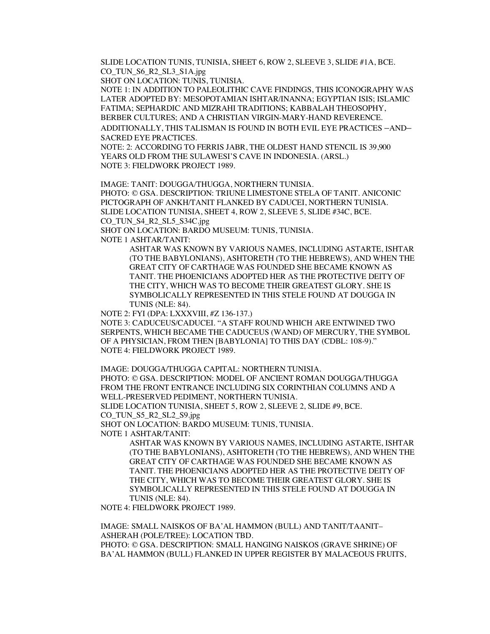SLIDE LOCATION TUNIS, TUNISIA, SHEET 6, ROW 2, SLEEVE 3, SLIDE #1A, BCE. CO\_TUN\_S6\_R2\_SL3\_S1A.jpg

SHOT ON LOCATION: TUNIS, TUNISIA.

NOTE 1: IN ADDITION TO PALEOLITHIC CAVE FINDINGS, THIS ICONOGRAPHY WAS LATER ADOPTED BY: MESOPOTAMIAN ISHTAR/INANNA; EGYPTIAN ISIS; ISLAMIC FATIMA; SEPHARDIC AND MIZRAHI TRADITIONS; KABBALAH THEOSOPHY, BERBER CULTURES; AND A CHRISTIAN VIRGIN-MARY-HAND REVERENCE.

ADDITIONALLY, THIS TALISMAN IS FOUND IN BOTH EVIL EYE PRACTICES –AND– SACRED EYE PRACTICES.

NOTE: 2: ACCORDING TO FERRIS JABR, THE OLDEST HAND STENCIL IS 39,900 YEARS OLD FROM THE SULAWESI'S CAVE IN INDONESIA. (ARSL.) NOTE 3: FIELDWORK PROJECT 1989.

IMAGE: TANIT: DOUGGA/THUGGA, NORTHERN TUNISIA.

PHOTO: © GSA. DESCRIPTION: TRIUNE LIMESTONE STELA OF TANIT. ANICONIC PICTOGRAPH OF ANKH/TANIT FLANKED BY CADUCEI, NORTHERN TUNISIA. SLIDE LOCATION TUNISIA, SHEET 4, ROW 2, SLEEVE 5, SLIDE #34C, BCE. CO\_TUN\_S4\_R2\_SL5\_S34C.jpg

SHOT ON LOCATION: BARDO MUSEUM: TUNIS, TUNISIA.

NOTE 1 ASHTAR/TANIT:

ASHTAR WAS KNOWN BY VARIOUS NAMES, INCLUDING ASTARTE, ISHTAR (TO THE BABYLONIANS), ASHTORETH (TO THE HEBREWS), AND WHEN THE GREAT CITY OF CARTHAGE WAS FOUNDED SHE BECAME KNOWN AS TANIT. THE PHOENICIANS ADOPTED HER AS THE PROTECTIVE DEITY OF THE CITY, WHICH WAS TO BECOME THEIR GREATEST GLORY. SHE IS SYMBOLICALLY REPRESENTED IN THIS STELE FOUND AT DOUGGA IN TUNIS (NLE: 84).

NOTE 2: FYI (DPA: LXXXVIII, #Z 136-137.) NOTE 3: CADUCEUS/CADUCEI. "A STAFF ROUND WHICH ARE ENTWINED TWO

SERPENTS, WHICH BECAME THE CADUCEUS (WAND) OF MERCURY, THE SYMBOL OF A PHYSICIAN, FROM THEN [BABYLONIA] TO THIS DAY (CDBL: 108-9)." NOTE 4: FIELDWORK PROJECT 1989.

IMAGE: DOUGGA/THUGGA CAPITAL: NORTHERN TUNISIA. PHOTO: © GSA. DESCRIPTION: MODEL OF ANCIENT ROMAN DOUGGA/THUGGA FROM THE FRONT ENTRANCE INCLUDING SIX CORINTHIAN COLUMNS AND A WELL-PRESERVED PEDIMENT, NORTHERN TUNISIA.

SLIDE LOCATION TUNISIA, SHEET 5, ROW 2, SLEEVE 2, SLIDE #9, BCE.

CO\_TUN\_S5\_R2\_SL2\_S9.jpg

SHOT ON LOCATION: BARDO MUSEUM: TUNIS, TUNISIA.

NOTE 1 ASHTAR/TANIT:

ASHTAR WAS KNOWN BY VARIOUS NAMES, INCLUDING ASTARTE, ISHTAR (TO THE BABYLONIANS), ASHTORETH (TO THE HEBREWS), AND WHEN THE GREAT CITY OF CARTHAGE WAS FOUNDED SHE BECAME KNOWN AS TANIT. THE PHOENICIANS ADOPTED HER AS THE PROTECTIVE DEITY OF THE CITY, WHICH WAS TO BECOME THEIR GREATEST GLORY. SHE IS SYMBOLICALLY REPRESENTED IN THIS STELE FOUND AT DOUGGA IN TUNIS (NLE: 84).

NOTE 4: FIELDWORK PROJECT 1989.

IMAGE: SMALL NAISKOS OF BA'AL HAMMON (BULL) AND TANIT/TAANIT– ASHERAH (POLE/TREE): LOCATION TBD. PHOTO: © GSA. DESCRIPTION: SMALL HANGING NAISKOS (GRAVE SHRINE) OF BA'AL HAMMON (BULL) FLANKED IN UPPER REGISTER BY MALACEOUS FRUITS,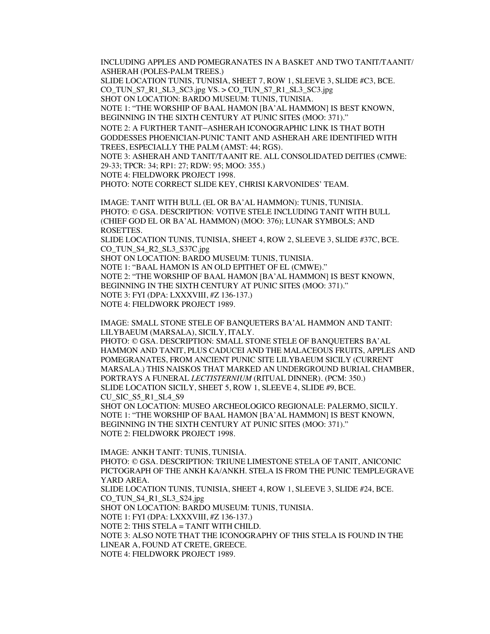INCLUDING APPLES AND POMEGRANATES IN A BASKET AND TWO TANIT/TAANIT/ ASHERAH (POLES-PALM TREES.)

SLIDE LOCATION TUNIS, TUNISIA, SHEET 7, ROW 1, SLEEVE 3, SLIDE #C3, BCE. CO\_TUN\_S7\_R1\_SL3\_SC3.jpg VS. > CO\_TUN\_S7\_R1\_SL3\_SC3.jpg

SHOT ON LOCATION: BARDO MUSEUM: TUNIS, TUNISIA.

NOTE 1: "THE WORSHIP OF BAAL HAMON [BA'AL HAMMON] IS BEST KNOWN, BEGINNING IN THE SIXTH CENTURY AT PUNIC SITES (MOO: 371)."

NOTE 2: A FURTHER TANIT–ASHERAH ICONOGRAPHIC LINK IS THAT BOTH GODDESSES PHOENICIAN-PUNIC TANIT AND ASHERAH ARE IDENTIFIED WITH TREES, ESPECIALLY THE PALM (AMST: 44; RGS).

NOTE 3: ASHERAH AND TANIT/TAANIT RE. ALL CONSOLIDATED DEITIES (CMWE: 29-33; TPCR: 34; RP1: 27; RDW: 95; MOO: 355.)

NOTE 4: FIELDWORK PROJECT 1998.

PHOTO: NOTE CORRECT SLIDE KEY, CHRISI KARVONIDES' TEAM.

IMAGE: TANIT WITH BULL (EL OR BA'AL HAMMON): TUNIS, TUNISIA. PHOTO: © GSA. DESCRIPTION: VOTIVE STELE INCLUDING TANIT WITH BULL (CHIEF GOD EL OR BA'AL HAMMON) (MOO: 376); LUNAR SYMBOLS; AND ROSETTES.

SLIDE LOCATION TUNIS, TUNISIA, SHEET 4, ROW 2, SLEEVE 3, SLIDE #37C, BCE. CO\_TUN\_S4\_R2\_SL3\_S37C.jpg

SHOT ON LOCATION: BARDO MUSEUM: TUNIS, TUNISIA.

NOTE 1: "BAAL HAMON IS AN OLD EPITHET OF EL (CMWE)."

NOTE 2: "THE WORSHIP OF BAAL HAMON [BA'AL HAMMON] IS BEST KNOWN, BEGINNING IN THE SIXTH CENTURY AT PUNIC SITES (MOO: 371)."

NOTE 3: FYI (DPA: LXXXVIII, #Z 136-137.)

NOTE 4: FIELDWORK PROJECT 1989.

IMAGE: SMALL STONE STELE OF BANQUETERS BA'AL HAMMON AND TANIT: LILYBAEUM (MARSALA), SICILY, ITALY.

PHOTO: © GSA. DESCRIPTION: SMALL STONE STELE OF BANQUETERS BA'AL HAMMON AND TANIT, PLUS CADUCEI AND THE MALACEOUS FRUITS, APPLES AND POMEGRANATES, FROM ANCIENT PUNIC SITE LILYBAEUM SICILY (CURRENT MARSALA.) THIS NAISKOS THAT MARKED AN UNDERGROUND BURIAL CHAMBER, PORTRAYS A FUNERAL *LECTISTERNIUM* (RITUAL DINNER). (PCM: 350.) SLIDE LOCATION SICILY, SHEET 5, ROW 1, SLEEVE 4, SLIDE #9, BCE. CU\_SIC\_S5\_R1\_SL4\_S9

SHOT ON LOCATION: MUSEO ARCHEOLOGICO REGIONALE: PALERMO, SICILY. NOTE 1: "THE WORSHIP OF BAAL HAMON [BA'AL HAMMON] IS BEST KNOWN, BEGINNING IN THE SIXTH CENTURY AT PUNIC SITES (MOO: 371)." NOTE 2: FIELDWORK PROJECT 1998.

IMAGE: ANKH TANIT: TUNIS, TUNISIA. PHOTO: © GSA. DESCRIPTION: TRIUNE LIMESTONE STELA OF TANIT, ANICONIC PICTOGRAPH OF THE ANKH KA/ANKH. STELA IS FROM THE PUNIC TEMPLE/GRAVE YARD AREA. SLIDE LOCATION TUNIS, TUNISIA, SHEET 4, ROW 1, SLEEVE 3, SLIDE #24, BCE. CO\_TUN\_S4\_R1\_SL3\_S24.jpg SHOT ON LOCATION: BARDO MUSEUM: TUNIS, TUNISIA. NOTE 1: FYI (DPA: LXXXVIII, #Z 136-137.) NOTE 2: THIS STELA = TANIT WITH CHILD. NOTE 3: ALSO NOTE THAT THE ICONOGRAPHY OF THIS STELA IS FOUND IN THE LINEAR A, FOUND AT CRETE, GREECE. NOTE 4: FIELDWORK PROJECT 1989.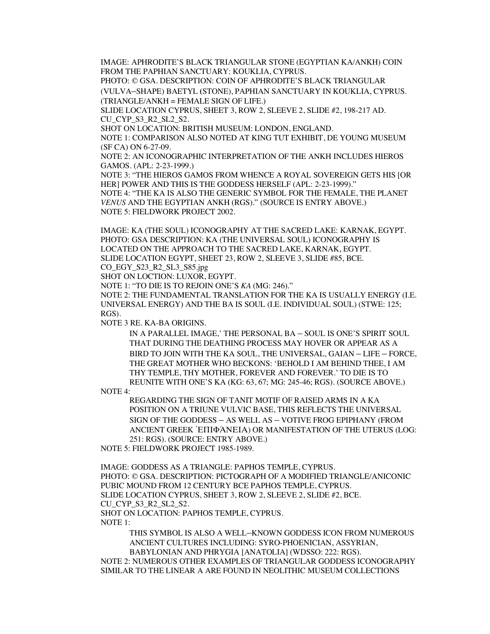IMAGE: APHRODITE'S BLACK TRIANGULAR STONE (EGYPTIAN KA/ANKH) COIN FROM THE PAPHIAN SANCTUARY: KOUKLIA, CYPRUS. PHOTO: © GSA. DESCRIPTION: COIN OF APHRODITE'S BLACK TRIANGULAR (VULVA–SHAPE) BAETYL **(**STONE), PAPHIAN SANCTUARY IN KOUKLIA, CYPRUS.

(TRIANGLE/ANKH = FEMALE SIGN OF LIFE.)

SLIDE LOCATION CYPRUS, SHEET 3, ROW 2, SLEEVE 2, SLIDE #2, 198-217 AD. CU\_CYP\_S3\_R2\_SL2\_S2.

SHOT ON LOCATION: BRITISH MUSEUM: LONDON, ENGLAND.

NOTE 1: COMPARISON ALSO NOTED AT KING TUT EXHIBIT, DE YOUNG MUSEUM (SF CA) ON 6-27-09.

NOTE 2: AN ICONOGRAPHIC INTERPRETATION OF THE ANKH INCLUDES HIEROS GAMOS. (APL: 2-23-1999.)

NOTE 3: "THE HIEROS GAMOS FROM WHENCE A ROYAL SOVEREIGN GETS HIS [OR HER] POWER AND THIS IS THE GODDESS HERSELF (APL: 2-23-1999)." NOTE 4: "THE KA IS ALSO THE GENERIC SYMBOL FOR THE FEMALE, THE PLANET *VENUS* AND THE EGYPTIAN ANKH (RGS)." (SOURCE IS ENTRY ABOVE.) NOTE 5: FIELDWORK PROJECT 2002.

IMAGE: KA (THE SOUL) ICONOGRAPHY AT THE SACRED LAKE: KARNAK, EGYPT. PHOTO: GSA DESCRIPTION: KA (THE UNIVERSAL SOUL) ICONOGRAPHY IS LOCATED ON THE APPROACH TO THE SACRED LAKE, KARNAK, EGYPT. SLIDE LOCATION EGYPT, SHEET 23, ROW 2, SLEEVE 3, SLIDE #85, BCE.

CO\_EGY\_S23\_R2\_SL3\_S85.jpg

SHOT ON LOCTION: LUXOR, EGYPT.

NOTE 1: "TO DIE IS TO REJOIN ONE'S *KA* (MG: 246)."

NOTE 2: THE FUNDAMENTAL TRANSLATION FOR THE KA IS USUALLY ENERGY (I.E. UNIVERSAL ENERGY) AND THE BA IS SOUL (I.E. INDIVIDUAL SOUL) (STWE: 125; RGS).

NOTE 3 RE. KA-BA ORIGINS.

IN A PARALLEL IMAGE,' THE PERSONAL BA – SOUL IS ONE'S SPIRIT SOUL THAT DURING THE DEATHING PROCESS MAY HOVER OR APPEAR AS A BIRD TO JOIN WITH THE KA SOUL, THE UNIVERSAL, GAIAN – LIFE – FORCE, THE GREAT MOTHER WHO BECKONS: 'BEHOLD I AM BEHIND THEE, I AM THY TEMPLE, THY MOTHER, FOREVER AND FOREVER.' TO DIE IS TO REUNITE WITH ONE'S KA (KG: 63, 67; MG: 245-46; RGS). (SOURCE ABOVE.)

NOTE 4:

REGARDING THE SIGN OF TANIT MOTIF OF RAISED ARMS IN A KA POSITION ON A TRIUNE VULVIC BASE, THIS REFLECTS THE UNIVERSAL SIGN OF THE GODDESS – AS WELL AS – VOTIVE FROG EPIPHANY (FROM ANCIENT GREEK ἘΠΙΦΆΝΕΙΑ) OR MANIFESTATION OF THE UTERUS (LOG: 251: RGS). (SOURCE: ENTRY ABOVE.)

NOTE 5: FIELDWORK PROJECT 1985-1989.

IMAGE: GODDESS AS A TRIANGLE: PAPHOS TEMPLE, CYPRUS. PHOTO: © GSA. DESCRIPTION: PICTOGRAPH OF A MODIFIED TRIANGLE/ANICONIC PUBIC MOUND FROM 12 CENTURY BCE PAPHOS TEMPLE, CYPRUS. SLIDE LOCATION CYPRUS, SHEET 3, ROW 2, SLEEVE 2, SLIDE #2, BCE. CU CYP S3 R2 SL2 S2. SHOT ON LOCATION: PAPHOS TEMPLE, CYPRUS. NOTE 1:

THIS SYMBOL IS ALSO A WELL–KNOWN GODDESS ICON FROM NUMEROUS ANCIENT CULTURES INCLUDING: SYRO-PHOENICIAN, ASSYRIAN, BABYLONIAN AND PHRYGIA [ANATOLIA] (WDSSO: 222: RGS).

NOTE 2: NUMEROUS OTHER EXAMPLES OF TRIANGULAR GODDESS ICONOGRAPHY SIMILAR TO THE LINEAR A ARE FOUND IN NEOLITHIC MUSEUM COLLECTIONS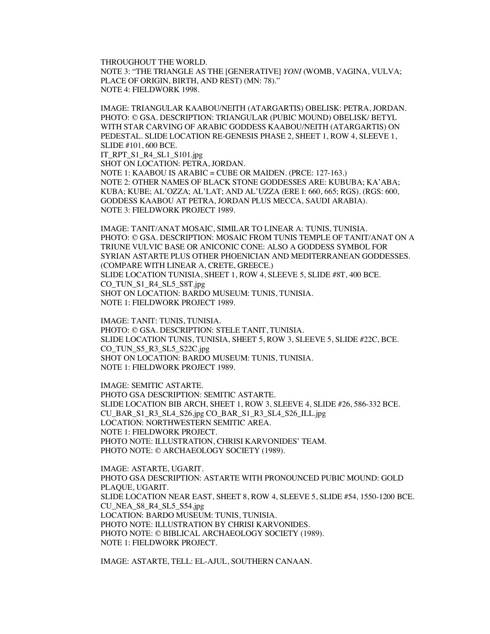THROUGHOUT THE WORLD. NOTE 3: "THE TRIANGLE AS THE [GENERATIVE] *YONI* (WOMB, VAGINA, VULVA; PLACE OF ORIGIN, BIRTH, AND REST) (MN: 78)." NOTE 4: FIELDWORK 1998.

IMAGE: TRIANGULAR KAABOU/NEITH (ATARGARTIS) OBELISK: PETRA, JORDAN. PHOTO: © GSA. DESCRIPTION: TRIANGULAR (PUBIC MOUND) OBELISK/ BETYL WITH STAR CARVING OF ARABIC GODDESS KAABOU/NEITH (ATARGARTIS) ON PEDESTAL. SLIDE LOCATION RE-GENESIS PHASE 2, SHEET 1, ROW 4, SLEEVE 1, SLIDE #101, 600 BCE. IT\_RPT\_S1\_R4\_SL1\_S101.jpg SHOT ON LOCATION: PETRA, JORDAN. NOTE 1: KAABOU IS ARABIC = CUBE OR MAIDEN. (PRCE: 127-163.) NOTE 2: OTHER NAMES OF BLACK STONE GODDESSES ARE: KUBUBA; KA'ABA; KUBA; KUBE; AL'OZZA; AL'LAT; AND AL'UZZA (ERE I: 660, 665; RGS). (RGS: 600, GODDESS KAABOU AT PETRA, JORDAN PLUS MECCA, SAUDI ARABIA). NOTE 3: FIELDWORK PROJECT 1989.

IMAGE: TANIT/ANAT MOSAIC, SIMILAR TO LINEAR A: TUNIS, TUNISIA. PHOTO: © GSA. DESCRIPTION: MOSAIC FROM TUNIS TEMPLE OF TANIT/ANAT ON A TRIUNE VULVIC BASE OR ANICONIC CONE: ALSO A GODDESS SYMBOL FOR SYRIAN ASTARTE PLUS OTHER PHOENICIAN AND MEDITERRANEAN GODDESSES. (COMPARE WITH LINEAR A, CRETE, GREECE.) SLIDE LOCATION TUNISIA, SHEET 1, ROW 4, SLEEVE 5, SLIDE #8T, 400 BCE. CO\_TUN\_S1\_R4\_SL5\_S8T.jpg SHOT ON LOCATION: BARDO MUSEUM: TUNIS, TUNISIA. NOTE 1: FIELDWORK PROJECT 1989.

IMAGE: TANIT: TUNIS, TUNISIA. PHOTO: © GSA. DESCRIPTION: STELE TANIT, TUNISIA. SLIDE LOCATION TUNIS, TUNISIA, SHEET 5, ROW 3, SLEEVE 5, SLIDE #22C, BCE. CO\_TUN\_S5\_R3\_SL5\_S22C.jpg SHOT ON LOCATION: BARDO MUSEUM: TUNIS, TUNISIA. NOTE 1: FIELDWORK PROJECT 1989.

IMAGE: SEMITIC ASTARTE. PHOTO GSA DESCRIPTION: SEMITIC ASTARTE. SLIDE LOCATION BIB ARCH, SHEET 1, ROW 3, SLEEVE 4, SLIDE #26, 586-332 BCE. CU\_BAR\_S1\_R3\_SL4\_S26.jpg CO\_BAR\_S1\_R3\_SL4\_S26\_ILL.jpg LOCATION: NORTHWESTERN SEMITIC AREA. NOTE 1: FIELDWORK PROJECT. PHOTO NOTE: ILLUSTRATION, CHRISI KARVONIDES' TEAM. PHOTO NOTE: © ARCHAEOLOGY SOCIETY (1989).

IMAGE: ASTARTE, UGARIT. PHOTO GSA DESCRIPTION: ASTARTE WITH PRONOUNCED PUBIC MOUND: GOLD PLAQUE, UGARIT. SLIDE LOCATION NEAR EAST, SHEET 8, ROW 4, SLEEVE 5, SLIDE #54, 1550-1200 BCE. CU\_NEA\_S8\_R4\_SL5\_S54.jpg LOCATION: BARDO MUSEUM: TUNIS, TUNISIA. PHOTO NOTE: ILLUSTRATION BY CHRISI KARVONIDES. PHOTO NOTE: © BIBLICAL ARCHAEOLOGY SOCIETY (1989). NOTE 1: FIELDWORK PROJECT.

IMAGE: ASTARTE, TELL: EL-AJUL, SOUTHERN CANAAN.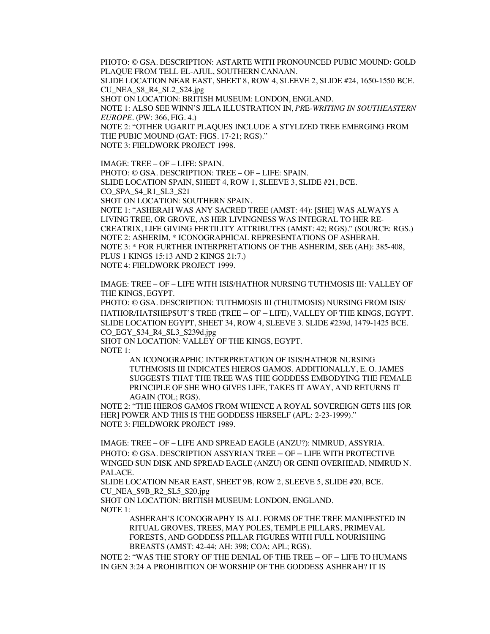PHOTO: © GSA. DESCRIPTION: ASTARTE WITH PRONOUNCED PUBIC MOUND: GOLD PLAQUE FROM TELL EL-AJUL, SOUTHERN CANAAN. SLIDE LOCATION NEAR EAST, SHEET 8, ROW 4, SLEEVE 2, SLIDE #24, 1650-1550 BCE. CU\_NEA\_S8\_R4\_SL2\_S24.jpg SHOT ON LOCATION: BRITISH MUSEUM: LONDON, ENGLAND. NOTE 1: ALSO SEE WINN'S JELA ILLUSTRATION IN, *PR*E-*WRITING IN SOUTHEASTERN EUROPE*. (PW: 366, FIG. 4.) NOTE 2: "OTHER UGARIT PLAQUES INCLUDE A STYLIZED TREE EMERGING FROM THE PUBIC MOUND (GAT: FIGS. 17-21; RGS)."

NOTE 3: FIELDWORK PROJECT 1998.

IMAGE: TREE – OF – LIFE: SPAIN. PHOTO: © GSA. DESCRIPTION: TREE – OF – LIFE: SPAIN. SLIDE LOCATION SPAIN, SHEET 4, ROW 1, SLEEVE 3, SLIDE #21, BCE. CO SPA\_S4\_R1\_SL3\_S21 SHOT ON LOCATION: SOUTHERN SPAIN. NOTE 1: "ASHERAH WAS ANY SACRED TREE (AMST: 44): [SHE] WAS ALWAYS A LIVING TREE, OR GROVE, AS HER LIVINGNESS WAS INTEGRAL TO HER RE-CREATRIX, LIFE GIVING FERTILITY ATTRIBUTES (AMST: 42; RGS)." (SOURCE: RGS.) NOTE 2: ASHERIM, \* ICONOGRAPHICAL REPRESENTATIONS OF ASHERAH. NOTE 3: \* FOR FURTHER INTERPRETATIONS OF THE ASHERIM, SEE (AH): 385-408, PLUS 1 KINGS 15:13 AND 2 KINGS 21:7.) NOTE 4: FIELDWORK PROJECT 1999.

IMAGE: TREE – OF – LIFE WITH ISIS/HATHOR NURSING TUTHMOSIS III: VALLEY OF THE KINGS, EGYPT.

PHOTO: © GSA. DESCRIPTION: TUTHMOSIS III (THUTMOSIS) NURSING FROM ISIS/ HATHOR/HATSHEPSUT'S TREE (TREE – OF – LIFE), VALLEY OF THE KINGS, EGYPT. SLIDE LOCATION EGYPT, SHEET 34, ROW 4, SLEEVE 3. SLIDE #239d, 1479-1425 BCE. CO\_EGY\_S34\_R4\_SL3\_S239d.jpg

SHOT ON LOCATION: VALLEY OF THE KINGS, EGYPT.

NOTE 1:

AN ICONOGRAPHIC INTERPRETATION OF ISIS/HATHOR NURSING TUTHMOSIS III INDICATES HIEROS GAMOS. ADDITIONALLY, E. O. JAMES SUGGESTS THAT THE TREE WAS THE GODDESS EMBODYING THE FEMALE PRINCIPLE OF SHE WHO GIVES LIFE, TAKES IT AWAY, AND RETURNS IT AGAIN (TOL; RGS).

NOTE 2: "THE HIEROS GAMOS FROM WHENCE A ROYAL SOVEREIGN GETS HIS [OR HER] POWER AND THIS IS THE GODDESS HERSELF (APL: 2-23-1999)." NOTE 3: FIELDWORK PROJECT 1989.

IMAGE: TREE – OF – LIFE AND SPREAD EAGLE (ANZU?): NIMRUD, ASSYRIA. PHOTO: © GSA. DESCRIPTION ASSYRIAN TREE – OF – LIFE WITH PROTECTIVE WINGED SUN DISK AND SPREAD EAGLE (ANZU) OR GENII OVERHEAD, NIMRUD N. PALACE.

SLIDE LOCATION NEAR EAST, SHEET 9B, ROW 2, SLEEVE 5, SLIDE #20, BCE. CU\_NEA\_S9B\_R2\_SL5\_S20.jpg

SHOT ON LOCATION: BRITISH MUSEUM: LONDON, ENGLAND. NOTE 1:

ASHERAH'S ICONOGRAPHY IS ALL FORMS OF THE TREE MANIFESTED IN RITUAL GROVES, TREES, MAY POLES, TEMPLE PILLARS, PRIMEVAL FORESTS, AND GODDESS PILLAR FIGURES WITH FULL NOURISHING BREASTS (AMST: 42-44; AH: 398; COA; APL; RGS).

NOTE 2: "WAS THE STORY OF THE DENIAL OF THE TREE – OF – LIFE TO HUMANS IN GEN 3:24 A PROHIBITION OF WORSHIP OF THE GODDESS ASHERAH? IT IS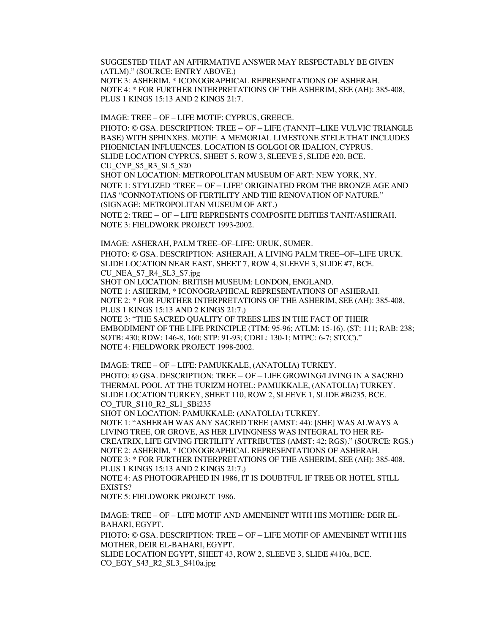SUGGESTED THAT AN AFFIRMATIVE ANSWER MAY RESPECTABLY BE GIVEN (ATLM)." (SOURCE: ENTRY ABOVE.) NOTE 3: ASHERIM, \* ICONOGRAPHICAL REPRESENTATIONS OF ASHERAH. NOTE 4: \* FOR FURTHER INTERPRETATIONS OF THE ASHERIM, SEE (AH): 385-408, PLUS 1 KINGS 15:13 AND 2 KINGS 21:7.

IMAGE: TREE – OF – LIFE MOTIF: CYPRUS, GREECE. PHOTO: © GSA. DESCRIPTION: TREE – OF – LIFE (TANNIT–LIKE VULVIC TRIANGLE BASE) WITH SPHINXES. MOTIF: A MEMORIAL LIMESTONE STELE THAT INCLUDES PHOENICIAN INFLUENCES. LOCATION IS GOLGOI OR IDALION, CYPRUS. SLIDE LOCATION CYPRUS, SHEET 5, ROW 3, SLEEVE 5, SLIDE #20, BCE. CU\_CYP\_S5\_R3\_SL5\_S20 SHOT ON LOCATION: METROPOLITAN MUSEUM OF ART: NEW YORK, NY. NOTE 1: STYLIZED 'TREE – OF – LIFE' ORIGINATED FROM THE BRONZE AGE AND HAS "CONNOTATIONS OF FERTILITY AND THE RENOVATION OF NATURE." (SIGNAGE: METROPOLITAN MUSEUM OF ART.) NOTE 2: TREE – OF – LIFE REPRESENTS COMPOSITE DEITIES TANIT/ASHERAH. NOTE 3: FIELDWORK PROJECT 1993-2002.

IMAGE: ASHERAH, PALM TREE–OF–LIFE: URUK, SUMER. PHOTO: © GSA. DESCRIPTION: ASHERAH, A LIVING PALM TREE–OF–LIFE URUK. SLIDE LOCATION NEAR EAST, SHEET 7, ROW 4, SLEEVE 3, SLIDE #7, BCE. CU\_NEA\_S7\_R4\_SL3\_S7.jpg SHOT ON LOCATION: BRITISH MUSEUM: LONDON, ENGLAND. NOTE 1: ASHERIM, \* ICONOGRAPHICAL REPRESENTATIONS OF ASHERAH. NOTE 2: \* FOR FURTHER INTERPRETATIONS OF THE ASHERIM, SEE (AH): 385-408, PLUS 1 KINGS 15:13 AND 2 KINGS 21:7.) NOTE 3: "THE SACRED QUALITY OF TREES LIES IN THE FACT OF THEIR EMBODIMENT OF THE LIFE PRINCIPLE (TTM: 95-96; ATLM: 15-16). (ST: 111; RAB: 238; SOTB: 430; RDW: 146-8, 160; STP: 91-93; CDBL: 130-1; MTPC: 6-7; STCC)." NOTE 4: FIELDWORK PROJECT 1998-2002.

IMAGE: TREE – OF – LIFE: PAMUKKALE, (ANATOLIA) TURKEY. PHOTO: © GSA. DESCRIPTION: TREE – OF – LIFE GROWING/LIVING IN A SACRED THERMAL POOL AT THE TURIZM HOTEL: PAMUKKALE, (ANATOLIA) TURKEY. SLIDE LOCATION TURKEY, SHEET 110, ROW 2, SLEEVE 1, SLIDE #Bi235, BCE. CO\_TUR\_S110\_R2\_SL1\_SBi235

SHOT ON LOCATION: PAMUKKALE: (ANATOLIA) TURKEY.

NOTE 1: "ASHERAH WAS ANY SACRED TREE (AMST: 44): [SHE] WAS ALWAYS A LIVING TREE, OR GROVE, AS HER LIVINGNESS WAS INTEGRAL TO HER RE-CREATRIX, LIFE GIVING FERTILITY ATTRIBUTES (AMST: 42; RGS)." (SOURCE: RGS.) NOTE 2: ASHERIM, \* ICONOGRAPHICAL REPRESENTATIONS OF ASHERAH. NOTE 3: \* FOR FURTHER INTERPRETATIONS OF THE ASHERIM, SEE (AH): 385-408, PLUS 1 KINGS 15:13 AND 2 KINGS 21:7.)

NOTE 4: AS PHOTOGRAPHED IN 1986, IT IS DOUBTFUL IF TREE OR HOTEL STILL EXISTS?

NOTE 5: FIELDWORK PROJECT 1986.

IMAGE: TREE – OF – LIFE MOTIF AND AMENEINET WITH HIS MOTHER: DEIR EL-BAHARI, EGYPT. PHOTO: © GSA. DESCRIPTION: TREE – OF – LIFE MOTIF OF AMENEINET WITH HIS MOTHER, DEIR EL-BAHARI, EGYPT. SLIDE LOCATION EGYPT, SHEET 43, ROW 2, SLEEVE 3, SLIDE #410a, BCE. CO\_EGY\_S43\_R2\_SL3\_S410a.jpg